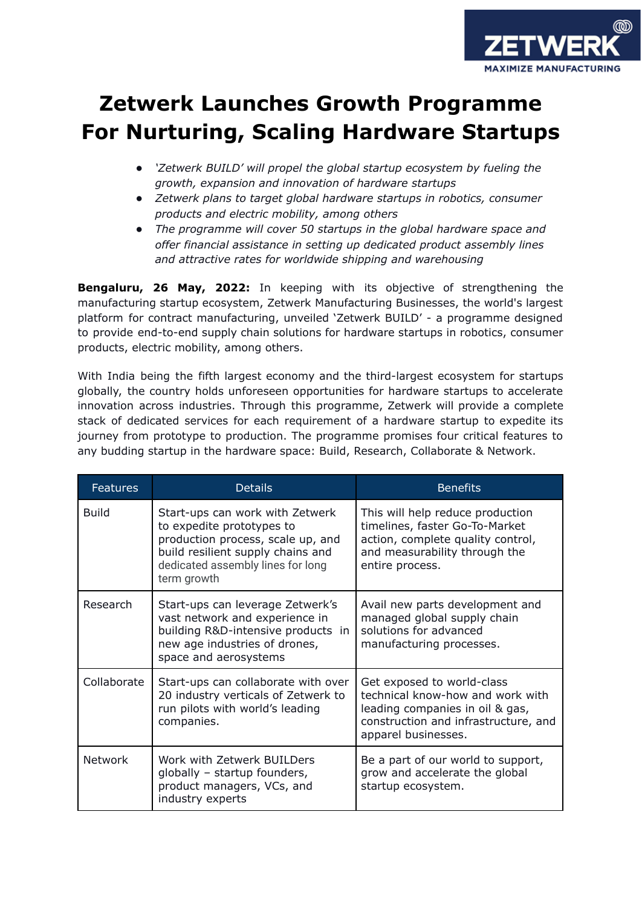

## **Zetwerk Launches Growth Programme For Nurturing, Scaling Hardware Startups**

- *● 'Zetwerk BUILD' will propel the global startup ecosystem by fueling the growth, expansion and innovation of hardware startups*
- *● Zetwerk plans to target global hardware startups in robotics, consumer products and electric mobility, among others*
- *● The programme will cover 50 startups in the global hardware space and offer financial assistance in setting up dedicated product assembly lines and attractive rates for worldwide shipping and warehousing*

**Bengaluru, 26 May, 2022:** In keeping with its objective of strengthening the manufacturing startup ecosystem, Zetwerk Manufacturing Businesses, the world's largest platform for contract manufacturing, unveiled 'Zetwerk BUILD' - a programme designed to provide end-to-end supply chain solutions for hardware startups in robotics, consumer products, electric mobility, among others.

With India being the fifth largest economy and the third-largest ecosystem for startups globally, the country holds unforeseen opportunities for hardware startups to accelerate innovation across industries. Through this programme, Zetwerk will provide a complete stack of dedicated services for each requirement of a hardware startup to expedite its journey from prototype to production. The programme promises four critical features to any budding startup in the hardware space: Build, Research, Collaborate & Network.

| <b>Features</b> | <b>Details</b>                                                                                                                                                                             | <b>Benefits</b>                                                                                                                                                  |
|-----------------|--------------------------------------------------------------------------------------------------------------------------------------------------------------------------------------------|------------------------------------------------------------------------------------------------------------------------------------------------------------------|
| <b>Build</b>    | Start-ups can work with Zetwerk<br>to expedite prototypes to<br>production process, scale up, and<br>build resilient supply chains and<br>dedicated assembly lines for long<br>term growth | This will help reduce production<br>timelines, faster Go-To-Market<br>action, complete quality control,<br>and measurability through the<br>entire process.      |
| Research        | Start-ups can leverage Zetwerk's<br>vast network and experience in<br>building R&D-intensive products in<br>new age industries of drones,<br>space and aerosystems                         | Avail new parts development and<br>managed global supply chain<br>solutions for advanced<br>manufacturing processes.                                             |
| Collaborate     | Start-ups can collaborate with over<br>20 industry verticals of Zetwerk to<br>run pilots with world's leading<br>companies.                                                                | Get exposed to world-class<br>technical know-how and work with<br>leading companies in oil & gas,<br>construction and infrastructure, and<br>apparel businesses. |
| <b>Network</b>  | Work with Zetwerk BUILDers<br>globally - startup founders,<br>product managers, VCs, and<br>industry experts                                                                               | Be a part of our world to support,<br>grow and accelerate the global<br>startup ecosystem.                                                                       |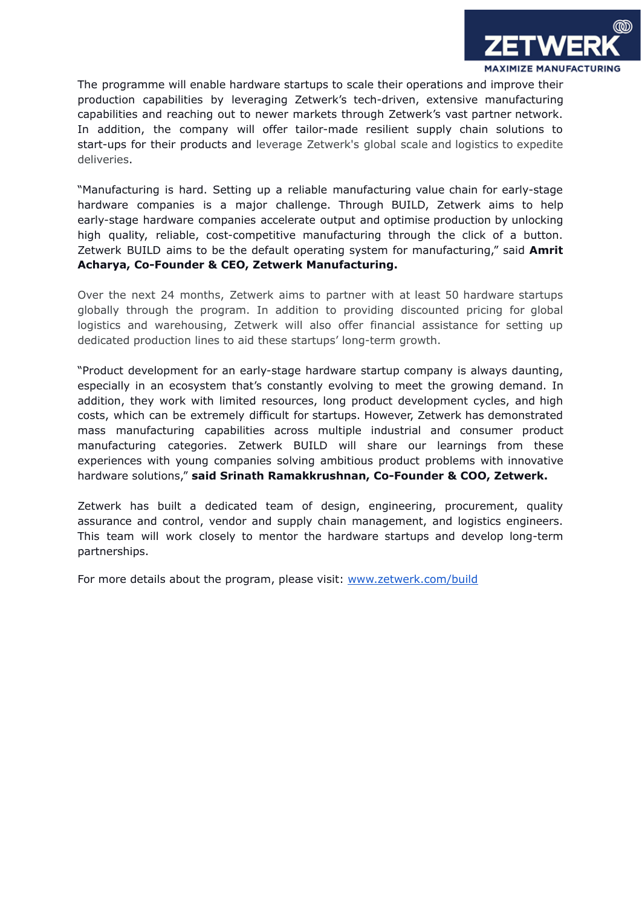

The programme will enable hardware startups to scale their operations and improve their production capabilities by leveraging Zetwerk's tech-driven, extensive manufacturing capabilities and reaching out to newer markets through Zetwerk's vast partner network. In addition, the company will offer tailor-made resilient supply chain solutions to start-ups for their products and leverage Zetwerk's global scale and logistics to expedite deliveries.

"Manufacturing is hard. Setting up a reliable manufacturing value chain for early-stage hardware companies is a major challenge. Through BUILD, Zetwerk aims to help early-stage hardware companies accelerate output and optimise production by unlocking high quality, reliable, cost-competitive manufacturing through the click of a button. Zetwerk BUILD aims to be the default operating system for manufacturing," said **Amrit Acharya, Co-Founder & CEO, Zetwerk Manufacturing.**

Over the next 24 months, Zetwerk aims to partner with at least 50 hardware startups globally through the program. In addition to providing discounted pricing for global logistics and warehousing, Zetwerk will also offer financial assistance for setting up dedicated production lines to aid these startups' long-term growth.

"Product development for an early-stage hardware startup company is always daunting, especially in an ecosystem that's constantly evolving to meet the growing demand. In addition, they work with limited resources, long product development cycles, and high costs, which can be extremely difficult for startups. However, Zetwerk has demonstrated mass manufacturing capabilities across multiple industrial and consumer product manufacturing categories. Zetwerk BUILD will share our learnings from these experiences with young companies solving ambitious product problems with innovative hardware solutions," **said Srinath Ramakkrushnan, Co-Founder & COO, Zetwerk.**

Zetwerk has built a dedicated team of design, engineering, procurement, quality assurance and control, vendor and supply chain management, and logistics engineers. This team will work closely to mentor the hardware startups and develop long-term partnerships.

For more details about the program, please visit: [www.zetwerk.com/build](http://www.zetwerk.com/build)